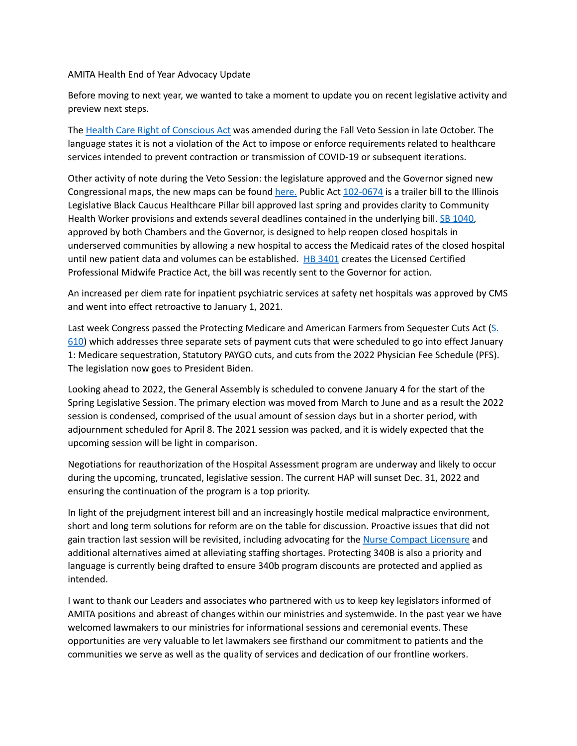AMITA Health End of Year Advocacy Update

Before moving to next year, we wanted to take a moment to update you on recent legislative activity and preview next steps.

The Health Care Right of [Conscious](https://www.ilga.gov/legislation/publicacts/102/PDF/102-0667.pdf) Act was amended during the Fall Veto Session in late October. The language states it is not a violation of the Act to impose or enforce requirements related to healthcare services intended to prevent contraction or transmission of COVID-19 or subsequent iterations.

Other activity of note during the Veto Session: the legislature approved and the Governor signed new Congressional maps, the new maps can be found [here.](https://nam11.safelinks.protection.outlook.com/?url=https%3A%2F%2Fwww.google.com%2Fmaps%2Fd%2Fu%2F1%2Fviewer%3Fmid%3D1qfnRiuOZ3yok6WGvBHZ9P6u3EMy_LwRv%26ll%3D39.79510521942542%252C-89.50414500000001%26z%3D7&data=04%7C01%7Cjulie.mirostaw%40amitahealth.org%7Cacc64f1d36dc4195568508d99b2474bb%7Cf81dc21ac1e5436c8b05d5f08b5a92bd%7C0%7C0%7C637711403437646875%7CUnknown%7CTWFpbGZsb3d8eyJWIjoiMC4wLjAwMDAiLCJQIjoiV2luMzIiLCJBTiI6Ik1haWwiLCJXVCI6Mn0%3D%7C1000&sdata=aa3R2xs81mErzyJu1SjZ9%2Fs2DLOlv4sxQX4FcIpbou4%3D&reserved=0) Public Act [102-0674](https://www.ilga.gov/legislation/publicacts/102/PDF/102-0674.pdf) is a trailer bill to the Illinois Legislative Black Caucus Healthcare Pillar bill approved last spring and provides clarity to Community Health Worker provisions and extends several deadlines contained in the underlying bill. SB [1040,](https://nam11.safelinks.protection.outlook.com/?url=https%3A%2F%2Filga.gov%2Flegislation%2Fbillstatus.asp%3FDocNum%3D1040%26GAID%3D16%26GA%3D102%26DocTypeID%3DSB%26LegID%3D133671%26SessionID%3D110&data=04%7C01%7Cjulie.mirostaw%40amitahealth.org%7Cacc64f1d36dc4195568508d99b2474bb%7Cf81dc21ac1e5436c8b05d5f08b5a92bd%7C0%7C0%7C637711403437646875%7CUnknown%7CTWFpbGZsb3d8eyJWIjoiMC4wLjAwMDAiLCJQIjoiV2luMzIiLCJBTiI6Ik1haWwiLCJXVCI6Mn0%3D%7C1000&sdata=xzarSv1m0H4yEd48WC%2FI21iJPyVOCbzLaRM4IJnp9n8%3D&reserved=0) approved by both Chambers and the Governor, is designed to help reopen closed hospitals in underserved communities by allowing a new hospital to access the Medicaid rates of the closed hospital until new patient data and volumes can be established. HB [3401](https://nam11.safelinks.protection.outlook.com/?url=https%3A%2F%2Filga.gov%2Flegislation%2FBillStatus.asp%3FDocNum%3D3401%26GAID%3D16%26DocTypeID%3DHB%26LegId%3D132360%26SessionID%3D110%26GA%3D102&data=04%7C01%7Cjulie.mirostaw%40amitahealth.org%7Cacc64f1d36dc4195568508d99b2474bb%7Cf81dc21ac1e5436c8b05d5f08b5a92bd%7C0%7C0%7C637711403437676746%7CUnknown%7CTWFpbGZsb3d8eyJWIjoiMC4wLjAwMDAiLCJQIjoiV2luMzIiLCJBTiI6Ik1haWwiLCJXVCI6Mn0%3D%7C1000&sdata=C4jM20%2Bu01WCoyVjm1KmOq11Jma5tyaXmGAYbuuSnsE%3D&reserved=0) creates the Licensed Certified Professional Midwife Practice Act, the bill was recently sent to the Governor for action.

An increased per diem rate for inpatient psychiatric services at safety net hospitals was approved by CMS and went into effect retroactive to January 1, 2021.

Last week Congress passed the Protecting Medicare and American Farmers from Sequester Cuts Act ([S.](https://nam11.safelinks.protection.outlook.com/?url=https%3A%2F%2Frules.house.gov%2Fsites%2Fdemocrats.rules.house.gov%2Ffiles%2FBILLS-117S610-RCP117-22.pdf&data=04%7C01%7Cjulie.mirostaw%40amitahealth.org%7Ce36c8ce9757e4b704bc508d9bb44c62b%7Cf81dc21ac1e5436c8b05d5f08b5a92bd%7C0%7C0%7C637746726724054093%7CUnknown%7CTWFpbGZsb3d8eyJWIjoiMC4wLjAwMDAiLCJQIjoiV2luMzIiLCJBTiI6Ik1haWwiLCJXVCI6Mn0%3D%7C3000&sdata=ROYcicMqrAgLOmgN%2FuP6d7D1nDODtf%2BGX8bj8XER1mQ%3D&reserved=0) [610\)](https://nam11.safelinks.protection.outlook.com/?url=https%3A%2F%2Frules.house.gov%2Fsites%2Fdemocrats.rules.house.gov%2Ffiles%2FBILLS-117S610-RCP117-22.pdf&data=04%7C01%7Cjulie.mirostaw%40amitahealth.org%7Ce36c8ce9757e4b704bc508d9bb44c62b%7Cf81dc21ac1e5436c8b05d5f08b5a92bd%7C0%7C0%7C637746726724054093%7CUnknown%7CTWFpbGZsb3d8eyJWIjoiMC4wLjAwMDAiLCJQIjoiV2luMzIiLCJBTiI6Ik1haWwiLCJXVCI6Mn0%3D%7C3000&sdata=ROYcicMqrAgLOmgN%2FuP6d7D1nDODtf%2BGX8bj8XER1mQ%3D&reserved=0) which addresses three separate sets of payment cuts that were scheduled to go into effect January 1: Medicare sequestration, Statutory PAYGO cuts, and cuts from the 2022 Physician Fee Schedule (PFS). The legislation now goes to President Biden.

Looking ahead to 2022, the General Assembly is scheduled to convene January 4 for the start of the Spring Legislative Session. The primary election was moved from March to June and as a result the 2022 session is condensed, comprised of the usual amount of session days but in a shorter period, with adjournment scheduled for April 8. The 2021 session was packed, and it is widely expected that the upcoming session will be light in comparison.

Negotiations for reauthorization of the Hospital Assessment program are underway and likely to occur during the upcoming, truncated, legislative session. The current HAP will sunset Dec. 31, 2022 and ensuring the continuation of the program is a top priority.

In light of the prejudgment interest bill and an increasingly hostile medical malpractice environment, short and long term solutions for reform are on the table for discussion. Proactive issues that did not gain traction last session will be revisited, including advocating for the Nurse Compact [Licensure](https://ilga.gov/legislation/102/HB/PDF/10200HB4269lv.pdf) and additional alternatives aimed at alleviating staffing shortages. Protecting 340B is also a priority and language is currently being drafted to ensure 340b program discounts are protected and applied as intended.

I want to thank our Leaders and associates who partnered with us to keep key legislators informed of AMITA positions and abreast of changes within our ministries and systemwide. In the past year we have welcomed lawmakers to our ministries for informational sessions and ceremonial events. These opportunities are very valuable to let lawmakers see firsthand our commitment to patients and the communities we serve as well as the quality of services and dedication of our frontline workers.